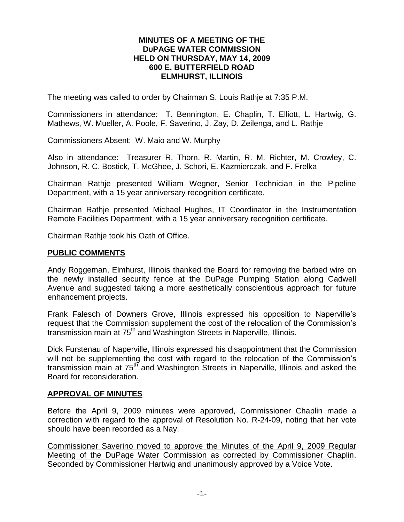#### **MINUTES OF A MEETING OF THE DUPAGE WATER COMMISSION HELD ON THURSDAY, MAY 14, 2009 600 E. BUTTERFIELD ROAD ELMHURST, ILLINOIS**

The meeting was called to order by Chairman S. Louis Rathje at 7:35 P.M.

Commissioners in attendance: T. Bennington, E. Chaplin, T. Elliott, L. Hartwig, G. Mathews, W. Mueller, A. Poole, F. Saverino, J. Zay, D. Zeilenga, and L. Rathje

Commissioners Absent: W. Maio and W. Murphy

Also in attendance: Treasurer R. Thorn, R. Martin, R. M. Richter, M. Crowley, C. Johnson, R. C. Bostick, T. McGhee, J. Schori, E. Kazmierczak, and F. Frelka

Chairman Rathje presented William Wegner, Senior Technician in the Pipeline Department, with a 15 year anniversary recognition certificate.

Chairman Rathje presented Michael Hughes, IT Coordinator in the Instrumentation Remote Facilities Department, with a 15 year anniversary recognition certificate.

Chairman Rathje took his Oath of Office.

#### **PUBLIC COMMENTS**

Andy Roggeman, Elmhurst, Illinois thanked the Board for removing the barbed wire on the newly installed security fence at the DuPage Pumping Station along Cadwell Avenue and suggested taking a more aesthetically conscientious approach for future enhancement projects.

Frank Falesch of Downers Grove, Illinois expressed his opposition to Naperville's request that the Commission supplement the cost of the relocation of the Commission's transmission main at 75<sup>th</sup> and Washington Streets in Naperville, Illinois.

Dick Furstenau of Naperville, Illinois expressed his disappointment that the Commission will not be supplementing the cost with regard to the relocation of the Commission's transmission main at 75<sup>th</sup> and Washington Streets in Naperville, Illinois and asked the Board for reconsideration.

#### **APPROVAL OF MINUTES**

Before the April 9, 2009 minutes were approved, Commissioner Chaplin made a correction with regard to the approval of Resolution No. R-24-09, noting that her vote should have been recorded as a Nay.

Commissioner Saverino moved to approve the Minutes of the April 9, 2009 Regular Meeting of the DuPage Water Commission as corrected by Commissioner Chaplin. Seconded by Commissioner Hartwig and unanimously approved by a Voice Vote.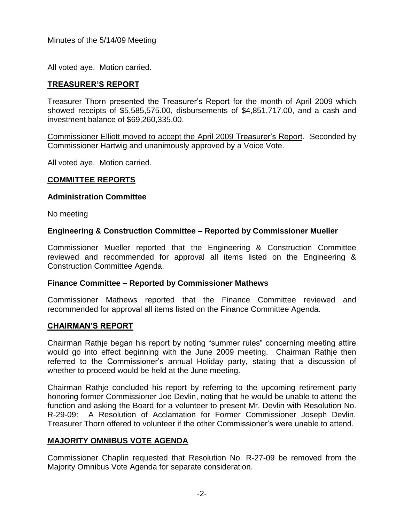All voted aye. Motion carried.

# **TREASURER'S REPORT**

Treasurer Thorn presented the Treasurer's Report for the month of April 2009 which showed receipts of \$5,585,575.00, disbursements of \$4,851,717.00, and a cash and investment balance of \$69,260,335.00.

Commissioner Elliott moved to accept the April 2009 Treasurer's Report. Seconded by Commissioner Hartwig and unanimously approved by a Voice Vote.

All voted aye. Motion carried.

# **COMMITTEE REPORTS**

### **Administration Committee**

No meeting

### **Engineering & Construction Committee – Reported by Commissioner Mueller**

Commissioner Mueller reported that the Engineering & Construction Committee reviewed and recommended for approval all items listed on the Engineering & Construction Committee Agenda.

### **Finance Committee – Reported by Commissioner Mathews**

Commissioner Mathews reported that the Finance Committee reviewed and recommended for approval all items listed on the Finance Committee Agenda.

### **CHAIRMAN'S REPORT**

Chairman Rathje began his report by noting "summer rules" concerning meeting attire would go into effect beginning with the June 2009 meeting. Chairman Rathje then referred to the Commissioner's annual Holiday party, stating that a discussion of whether to proceed would be held at the June meeting.

Chairman Rathje concluded his report by referring to the upcoming retirement party honoring former Commissioner Joe Devlin, noting that he would be unable to attend the function and asking the Board for a volunteer to present Mr. Devlin with Resolution No. R-29-09: A Resolution of Acclamation for Former Commissioner Joseph Devlin. Treasurer Thorn offered to volunteer if the other Commissioner's were unable to attend.

# **MAJORITY OMNIBUS VOTE AGENDA**

Commissioner Chaplin requested that Resolution No. R-27-09 be removed from the Majority Omnibus Vote Agenda for separate consideration.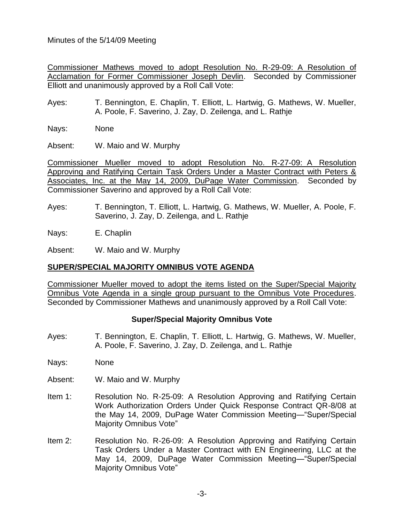Commissioner Mathews moved to adopt Resolution No. R-29-09: A Resolution of Acclamation for Former Commissioner Joseph Devlin. Seconded by Commissioner Elliott and unanimously approved by a Roll Call Vote:

Ayes: T. Bennington, E. Chaplin, T. Elliott, L. Hartwig, G. Mathews, W. Mueller, A. Poole, F. Saverino, J. Zay, D. Zeilenga, and L. Rathje

Nays: None

Absent: W. Maio and W. Murphy

Commissioner Mueller moved to adopt Resolution No. R-27-09: A Resolution Approving and Ratifying Certain Task Orders Under a Master Contract with Peters & Associates, Inc. at the May 14, 2009, DuPage Water Commission. Seconded by Commissioner Saverino and approved by a Roll Call Vote:

Ayes: T. Bennington, T. Elliott, L. Hartwig, G. Mathews, W. Mueller, A. Poole, F. Saverino, J. Zay, D. Zeilenga, and L. Rathje

Nays: E. Chaplin

Absent: W. Maio and W. Murphy

# **SUPER/SPECIAL MAJORITY OMNIBUS VOTE AGENDA**

Commissioner Mueller moved to adopt the items listed on the Super/Special Majority Omnibus Vote Agenda in a single group pursuant to the Omnibus Vote Procedures. Seconded by Commissioner Mathews and unanimously approved by a Roll Call Vote:

# **Super/Special Majority Omnibus Vote**

- Ayes: T. Bennington, E. Chaplin, T. Elliott, L. Hartwig, G. Mathews, W. Mueller, A. Poole, F. Saverino, J. Zay, D. Zeilenga, and L. Rathje
- Nays: None
- Absent: W. Maio and W. Murphy
- Item 1: Resolution No. R-25-09: A Resolution Approving and Ratifying Certain Work Authorization Orders Under Quick Response Contract QR-8/08 at the May 14, 2009, DuPage Water Commission Meeting—"Super/Special Majority Omnibus Vote"
- Item 2: Resolution No. R-26-09: A Resolution Approving and Ratifying Certain Task Orders Under a Master Contract with EN Engineering, LLC at the May 14, 2009, DuPage Water Commission Meeting—"Super/Special Majority Omnibus Vote"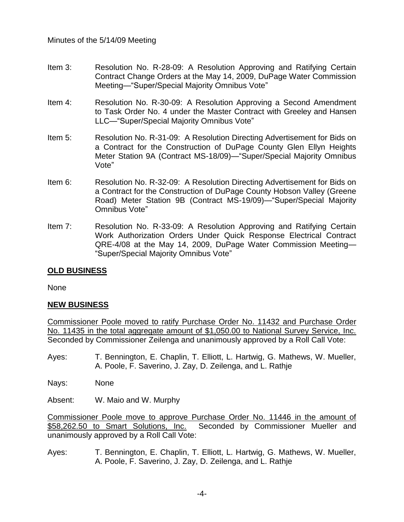- Item 3: Resolution No. R-28-09: A Resolution Approving and Ratifying Certain Contract Change Orders at the May 14, 2009, DuPage Water Commission Meeting—"Super/Special Majority Omnibus Vote"
- Item 4: Resolution No. R-30-09: A Resolution Approving a Second Amendment to Task Order No. 4 under the Master Contract with Greeley and Hansen LLC—"Super/Special Majority Omnibus Vote"
- Item 5: Resolution No. R-31-09: A Resolution Directing Advertisement for Bids on a Contract for the Construction of DuPage County Glen Ellyn Heights Meter Station 9A (Contract MS-18/09)—"Super/Special Majority Omnibus Vote"
- Item 6: Resolution No. R-32-09: A Resolution Directing Advertisement for Bids on a Contract for the Construction of DuPage County Hobson Valley (Greene Road) Meter Station 9B (Contract MS-19/09)—"Super/Special Majority Omnibus Vote"
- Item 7: Resolution No. R-33-09: A Resolution Approving and Ratifying Certain Work Authorization Orders Under Quick Response Electrical Contract QRE-4/08 at the May 14, 2009, DuPage Water Commission Meeting— "Super/Special Majority Omnibus Vote"

### **OLD BUSINESS**

None

### **NEW BUSINESS**

Commissioner Poole moved to ratify Purchase Order No. 11432 and Purchase Order No. 11435 in the total aggregate amount of \$1,050.00 to National Survey Service, Inc. Seconded by Commissioner Zeilenga and unanimously approved by a Roll Call Vote:

- Ayes: T. Bennington, E. Chaplin, T. Elliott, L. Hartwig, G. Mathews, W. Mueller, A. Poole, F. Saverino, J. Zay, D. Zeilenga, and L. Rathje
- Nays: None

Absent: W. Maio and W. Murphy

Commissioner Poole move to approve Purchase Order No. 11446 in the amount of \$58,262.50 to Smart Solutions, Inc. Seconded by Commissioner Mueller and unanimously approved by a Roll Call Vote:

Ayes: T. Bennington, E. Chaplin, T. Elliott, L. Hartwig, G. Mathews, W. Mueller, A. Poole, F. Saverino, J. Zay, D. Zeilenga, and L. Rathje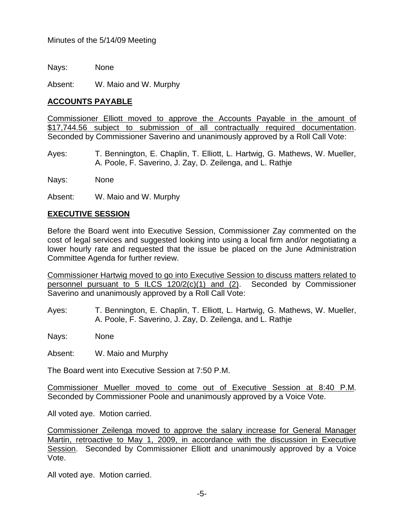Nays: None Absent: W. Maio and W. Murphy

# **ACCOUNTS PAYABLE**

Commissioner Elliott moved to approve the Accounts Payable in the amount of \$17,744.56 subject to submission of all contractually required documentation. Seconded by Commissioner Saverino and unanimously approved by a Roll Call Vote:

Ayes: T. Bennington, E. Chaplin, T. Elliott, L. Hartwig, G. Mathews, W. Mueller, A. Poole, F. Saverino, J. Zay, D. Zeilenga, and L. Rathje

Nays: None

Absent: W. Maio and W. Murphy

### **EXECUTIVE SESSION**

Before the Board went into Executive Session, Commissioner Zay commented on the cost of legal services and suggested looking into using a local firm and/or negotiating a lower hourly rate and requested that the issue be placed on the June Administration Committee Agenda for further review.

Commissioner Hartwig moved to go into Executive Session to discuss matters related to personnel pursuant to 5 ILCS 120/2(c)(1) and (2). Seconded by Commissioner Saverino and unanimously approved by a Roll Call Vote:

Ayes: T. Bennington, E. Chaplin, T. Elliott, L. Hartwig, G. Mathews, W. Mueller, A. Poole, F. Saverino, J. Zay, D. Zeilenga, and L. Rathje

Nays: None

Absent: W. Maio and Murphy

The Board went into Executive Session at 7:50 P.M.

Commissioner Mueller moved to come out of Executive Session at 8:40 P.M. Seconded by Commissioner Poole and unanimously approved by a Voice Vote.

All voted aye. Motion carried.

Commissioner Zeilenga moved to approve the salary increase for General Manager Martin, retroactive to May 1, 2009, in accordance with the discussion in Executive Session. Seconded by Commissioner Elliott and unanimously approved by a Voice Vote.

All voted aye. Motion carried.